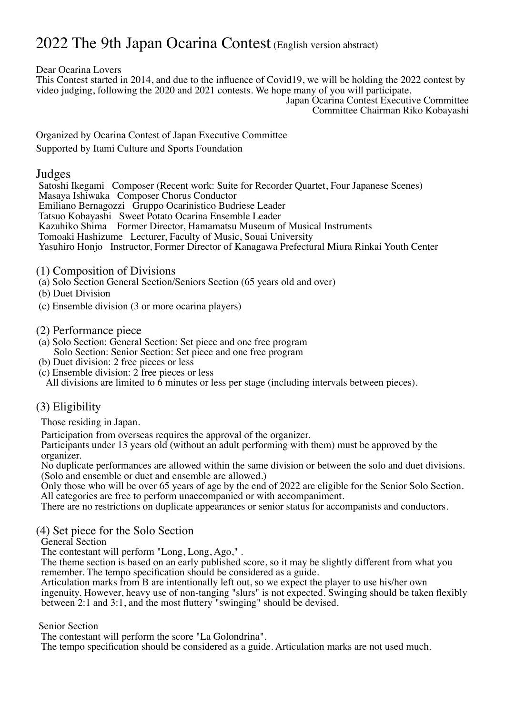# 2022 The 9th Japan Ocarina Contest (English version abstract)

Dear Ocarina Lovers

This Contest started in 2014, and due to the influence of Covid19, we will be holding the 2022 contest by video judging, following the 2020 and 2021 contests. We hope many of you will participate.

Japan Ocarina Contest Executive Committee Committee Chairman Riko Kobayashi

Organized by Ocarina Contest of Japan Executive Committee Supported by Itami Culture and Sports Foundation

### Judges

Satoshi Ikegami Composer (Recent work: Suite for Recorder Quartet, Four Japanese Scenes) Masaya Ishiwaka Composer Chorus Conductor Emiliano Bernagozzi Gruppo Ocarinistico Budriese Leader Tatsuo Kobayashi Sweet Potato Ocarina Ensemble Leader Kazuhiko Shima Former Director, Hamamatsu Museum of Musical Instruments Tomoaki Hashizume Lecturer, Faculty of Music, Souai University Yasuhiro Honjo Instructor, Former Director of Kanagawa Prefectural Miura Rinkai Youth Center

- (1) Composition of Divisions
- (a) Solo Section General Section/Seniors Section (65 years old and over)
- (b) Duet Division
- (c) Ensemble division (3 or more ocarina players)
- (2) Performance piece
- (a) Solo Section: General Section: Set piece and one free program Solo Section: Senior Section: Set piece and one free program
- (b) Duet division: 2 free pieces or less
- (c) Ensemble division: 2 free pieces or less All divisions are limited to 6 minutes or less per stage (including intervals between pieces).

### (3) Eligibility

Those residing in Japan.

Participation from overseas requires the approval of the organizer. Participants under <sup>13</sup> years old (without an adult performing with them) must be approved by the

organizer.<br>No duplicate performances are allowed within the same division or between the solo and duet divisions.<br>(Solo and ensemble or duet and ensemble are allowed.)

Only those who will be over 65 years of age by the end of 2022 are eligible for the Senior Solo Section. All categories are free to perform unaccompanied or with accompaniment.

There are no restrictions on duplicate appearances or senior status for accompanists and conductors.

#### (4) Set piece for the Solo Section

General Section<br>The contestant will perform "Long, Long, Ago,".

The theme section is based on an early published score, so it may be slightly different from what you remember. The tempo specification should be considered as a guide.

Articulation marks from B are intentionally left out, so we expect the player to use his/her own ingenuity. However, heavy use of non-tanging "slurs" is not expected. Swinging should be taken flexibly between 2:1 and 3:1, and the most fluttery "swinging" should be devised.

Senior Section<br>The contestant will perform the score "La Golondrina".

The tempo specification should be considered as a guide. Articulation marks are not used much.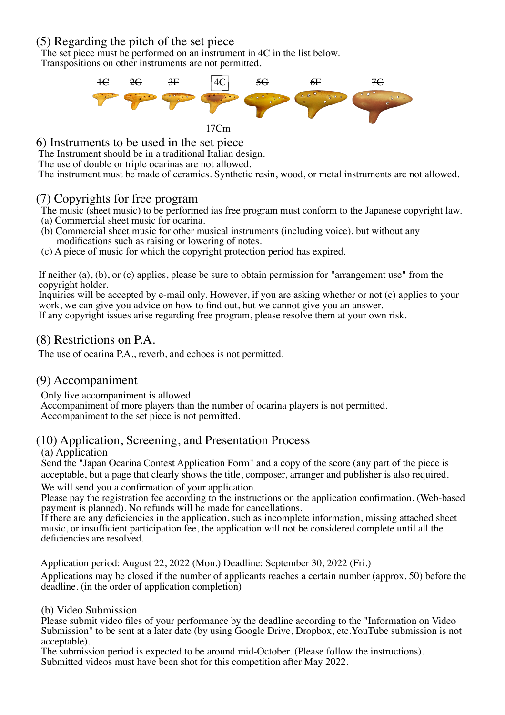## (5) Regarding the pitch of the set piece

The set piece must be performed on an instrument in 4C in the list below. Transpositions on other instruments are not permitted.



17Cm

6) Instruments to be used in the set piece

The Instrument should be in a traditional Italian design.

The use of double or triple ocarinas are not allowed.

The instrument must be made of ceramics. Synthetic resin, wood, or metal instruments are not allowed.

## (7) Copyrights for free program

The music (sheet music) to be performed ias free program must conform to the Japanese copyright law.<br>
(a) Commercial sheet music for ocarina.<br>
(b) Commercial sheet music for other musical instruments (including voice), but

- 
- modifications such as raising or lowering of notes. (c) <sup>A</sup> piece of music for which the copyright protection period has expired.

If neither (a), (b), or (c) applies, please be sure to obtain permission for "arrangement use" from the copyright holder.

Inquiries will be accepted by e-mail only. However, if you are asking whether or not (c) applies to your work, we can give you advice on how to find out, but we cannot give you an answer. If any copyright issues arise regarding free program, please resolve them at your own risk.

# (8) Restrictions on P.A.

The use of ocarina P.A., reverb, and echoes is not permitted.

# (9) Accompaniment

Only live accompaniment is allowed. Accompaniment of more players than the number of ocarina players is not permitted. Accompaniment to the set piece is not permitted.

# (10) Application, Screening, and Presentation Process

### (a) Application

Send the "Japan Ocarina Contest Application Form" and a copy of the score (any part of the piece is acceptable, but a page that clearly shows the title, composer, arranger and publisher is also required.

We will send you a confirmation of your application.<br>Please pay the registration fee according to the instructions on the application confirmation. (Web-based payment is planned). No refunds will be made for cancellations.

If there are any deficiencies in the application, such as incomplete information, missing attached sheet music, or insufficient participation fee, the application will not be considered complete until all the deficiencies are resolved.

Application period: August 22, 2022 (Mon.) Deadline: September 30, 2022 (Fri.)

Applications may be closed if the number of applicants reaches a certain number (approx. 50) before the deadline. (in the order of application completion)

### (b) Video Submission

Please submit video files of your performance by the deadline according to the "Information on Video Submission" to be sent at a later date (by using Google Drive, Dropbox, etc.YouTube submission is not acceptable).

The submission period is expected to be around mid-October. (Please follow the instructions). Submitted videos must have been shot for this competition after May 2022.